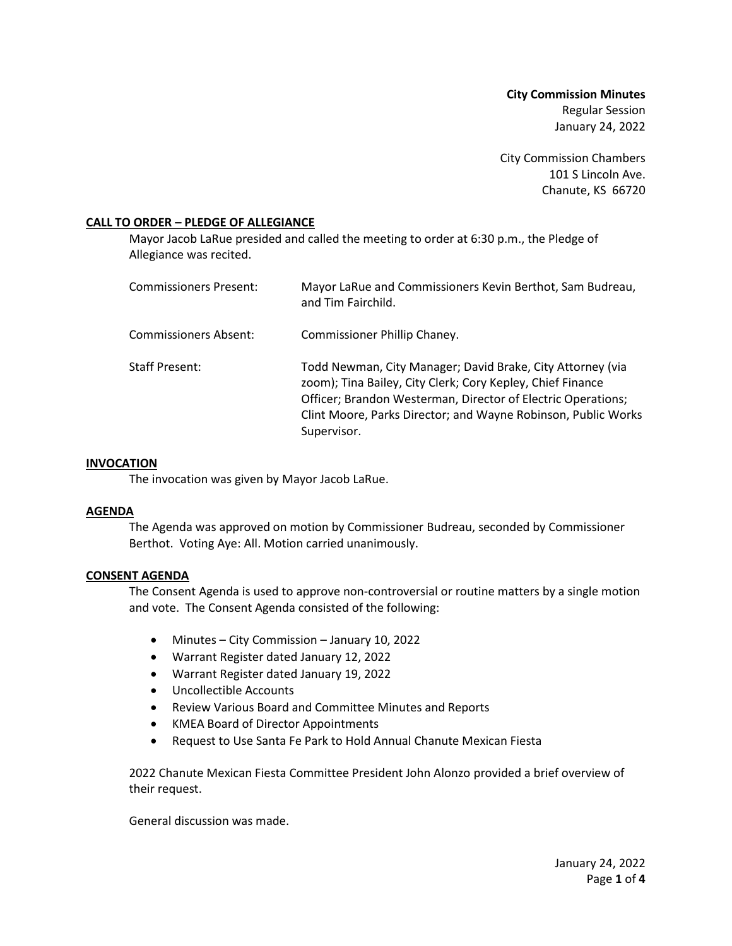**City Commission Minutes** Regular Session January 24, 2022

City Commission Chambers 101 S Lincoln Ave. Chanute, KS 66720

# **CALL TO ORDER – PLEDGE OF ALLEGIANCE**

Mayor Jacob LaRue presided and called the meeting to order at 6:30 p.m., the Pledge of Allegiance was recited.

| Commissioners Present: | Mayor LaRue and Commissioners Kevin Berthot, Sam Budreau,<br>and Tim Fairchild.                                                                                                                                                                                          |
|------------------------|--------------------------------------------------------------------------------------------------------------------------------------------------------------------------------------------------------------------------------------------------------------------------|
| Commissioners Absent:  | Commissioner Phillip Chaney.                                                                                                                                                                                                                                             |
| Staff Present:         | Todd Newman, City Manager; David Brake, City Attorney (via<br>zoom); Tina Bailey, City Clerk; Cory Kepley, Chief Finance<br>Officer; Brandon Westerman, Director of Electric Operations;<br>Clint Moore, Parks Director; and Wayne Robinson, Public Works<br>Supervisor. |

#### **INVOCATION**

The invocation was given by Mayor Jacob LaRue.

#### **AGENDA**

The Agenda was approved on motion by Commissioner Budreau, seconded by Commissioner Berthot. Voting Aye: All. Motion carried unanimously.

# **CONSENT AGENDA**

The Consent Agenda is used to approve non-controversial or routine matters by a single motion and vote. The Consent Agenda consisted of the following:

- Minutes City Commission January 10, 2022
- Warrant Register dated January 12, 2022
- Warrant Register dated January 19, 2022
- Uncollectible Accounts
- Review Various Board and Committee Minutes and Reports
- KMEA Board of Director Appointments
- Request to Use Santa Fe Park to Hold Annual Chanute Mexican Fiesta

2022 Chanute Mexican Fiesta Committee President John Alonzo provided a brief overview of their request.

General discussion was made.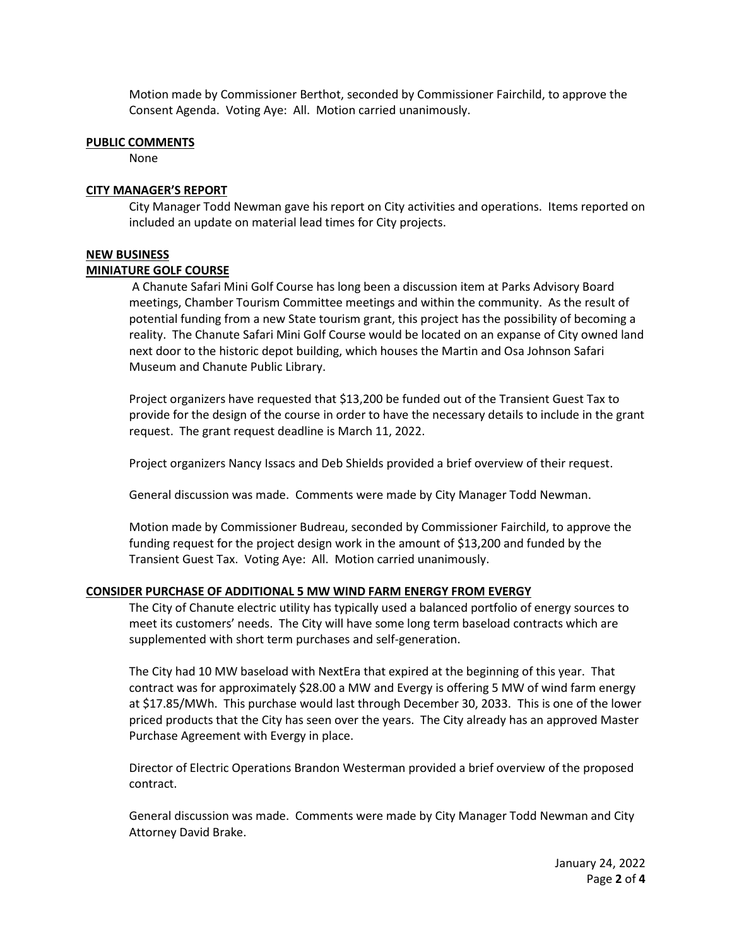Motion made by Commissioner Berthot, seconded by Commissioner Fairchild, to approve the Consent Agenda. Voting Aye: All. Motion carried unanimously.

#### **PUBLIC COMMENTS**

None

#### **CITY MANAGER'S REPORT**

City Manager Todd Newman gave his report on City activities and operations. Items reported on included an update on material lead times for City projects.

# **NEW BUSINESS**

# **MINIATURE GOLF COURSE**

A Chanute Safari Mini Golf Course has long been a discussion item at Parks Advisory Board meetings, Chamber Tourism Committee meetings and within the community. As the result of potential funding from a new State tourism grant, this project has the possibility of becoming a reality. The Chanute Safari Mini Golf Course would be located on an expanse of City owned land next door to the historic depot building, which houses the Martin and Osa Johnson Safari Museum and Chanute Public Library.

Project organizers have requested that \$13,200 be funded out of the Transient Guest Tax to provide for the design of the course in order to have the necessary details to include in the grant request. The grant request deadline is March 11, 2022.

Project organizers Nancy Issacs and Deb Shields provided a brief overview of their request.

General discussion was made. Comments were made by City Manager Todd Newman.

Motion made by Commissioner Budreau, seconded by Commissioner Fairchild, to approve the funding request for the project design work in the amount of \$13,200 and funded by the Transient Guest Tax. Voting Aye: All. Motion carried unanimously.

#### **CONSIDER PURCHASE OF ADDITIONAL 5 MW WIND FARM ENERGY FROM EVERGY**

The City of Chanute electric utility has typically used a balanced portfolio of energy sources to meet its customers' needs. The City will have some long term baseload contracts which are supplemented with short term purchases and self-generation.

The City had 10 MW baseload with NextEra that expired at the beginning of this year. That contract was for approximately \$28.00 a MW and Evergy is offering 5 MW of wind farm energy at \$17.85/MWh. This purchase would last through December 30, 2033. This is one of the lower priced products that the City has seen over the years. The City already has an approved Master Purchase Agreement with Evergy in place.

Director of Electric Operations Brandon Westerman provided a brief overview of the proposed contract.

General discussion was made. Comments were made by City Manager Todd Newman and City Attorney David Brake.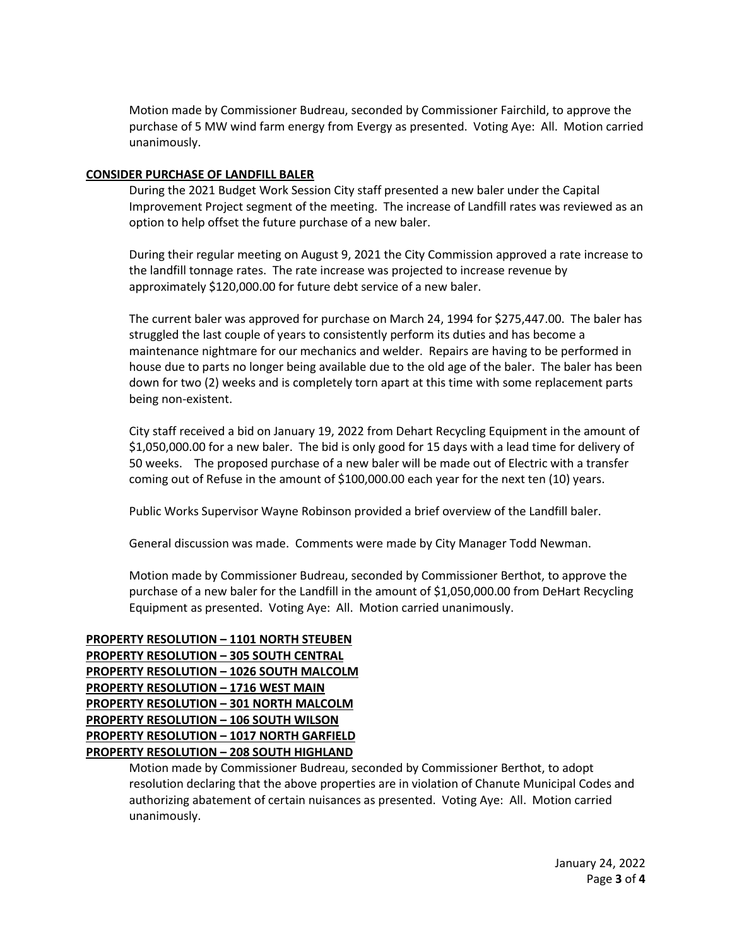Motion made by Commissioner Budreau, seconded by Commissioner Fairchild, to approve the purchase of 5 MW wind farm energy from Evergy as presented. Voting Aye: All. Motion carried unanimously.

# **CONSIDER PURCHASE OF LANDFILL BALER**

During the 2021 Budget Work Session City staff presented a new baler under the Capital Improvement Project segment of the meeting. The increase of Landfill rates was reviewed as an option to help offset the future purchase of a new baler.

During their regular meeting on August 9, 2021 the City Commission approved a rate increase to the landfill tonnage rates. The rate increase was projected to increase revenue by approximately \$120,000.00 for future debt service of a new baler.

The current baler was approved for purchase on March 24, 1994 for \$275,447.00. The baler has struggled the last couple of years to consistently perform its duties and has become a maintenance nightmare for our mechanics and welder. Repairs are having to be performed in house due to parts no longer being available due to the old age of the baler. The baler has been down for two (2) weeks and is completely torn apart at this time with some replacement parts being non-existent.

City staff received a bid on January 19, 2022 from Dehart Recycling Equipment in the amount of \$1,050,000.00 for a new baler. The bid is only good for 15 days with a lead time for delivery of 50 weeks. The proposed purchase of a new baler will be made out of Electric with a transfer coming out of Refuse in the amount of \$100,000.00 each year for the next ten (10) years.

Public Works Supervisor Wayne Robinson provided a brief overview of the Landfill baler.

General discussion was made. Comments were made by City Manager Todd Newman.

Motion made by Commissioner Budreau, seconded by Commissioner Berthot, to approve the purchase of a new baler for the Landfill in the amount of \$1,050,000.00 from DeHart Recycling Equipment as presented. Voting Aye: All. Motion carried unanimously.

# **PROPERTY RESOLUTION – 1101 NORTH STEUBEN PROPERTY RESOLUTION – 305 SOUTH CENTRAL PROPERTY RESOLUTION – 1026 SOUTH MALCOLM PROPERTY RESOLUTION – 1716 WEST MAIN PROPERTY RESOLUTION – 301 NORTH MALCOLM PROPERTY RESOLUTION – 106 SOUTH WILSON PROPERTY RESOLUTION – 1017 NORTH GARFIELD PROPERTY RESOLUTION – 208 SOUTH HIGHLAND**

Motion made by Commissioner Budreau, seconded by Commissioner Berthot, to adopt resolution declaring that the above properties are in violation of Chanute Municipal Codes and authorizing abatement of certain nuisances as presented. Voting Aye: All. Motion carried unanimously.